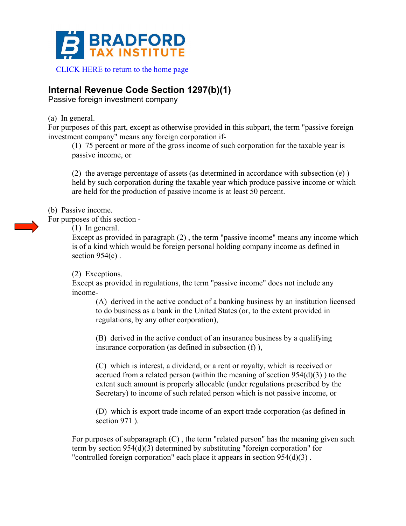

## **Internal Revenue Code Section 1297(b)(1)**

Passive foreign investment company

(a) In general.

For purposes of this part, except as otherwise provided in this subpart, the term "passive foreign investment company" means any foreign corporation if-

(1) 75 percent or more of the gross income of such corporation for the taxable year is passive income, or

(2) the average percentage of assets (as determined in accordance with subsection (e) ) held by such corporation during the taxable year which produce passive income or which are held for the production of passive income is at least 50 percent.

(b) Passive income.

For purposes of this section -

(1) In general.

Except as provided in paragraph (2) , the term "passive income" means any income which is of a kind which would be foreign personal holding company income as defined in section  $954(c)$ .

(2) Exceptions.

Except as provided in regulations, the term "passive income" does not include any income-

(A) derived in the active conduct of a banking business by an institution licensed to do business as a bank in the United States (or, to the extent provided in regulations, by any other corporation),

(B) derived in the active conduct of an insurance business by a qualifying insurance corporation (as defined in subsection (f) ),

(C) which is interest, a dividend, or a rent or royalty, which is received or accrued from a related person (within the meaning of section  $954(d)(3)$ ) to the extent such amount is properly allocable (under regulations prescribed by the Secretary) to income of such related person which is not passive income, or

(D) which is export trade income of an export trade corporation (as defined in section 971).

For purposes of subparagraph (C) , the term "related person" has the meaning given such term by section 954(d)(3) determined by substituting "foreign corporation" for "controlled foreign corporation" each place it appears in section 954(d)(3) .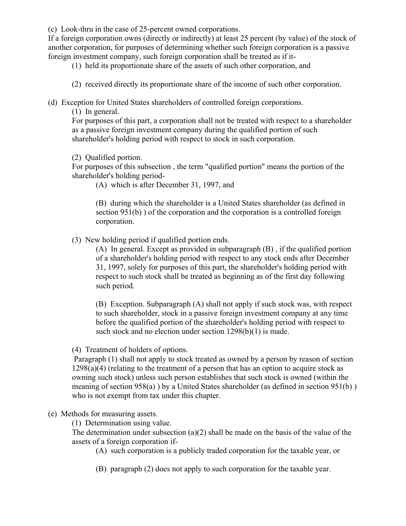(c) Look-thru in the case of 25-percent owned corporations.

If a foreign corporation owns (directly or indirectly) at least 25 percent (by value) of the stock of another corporation, for purposes of determining whether such foreign corporation is a passive foreign investment company, such foreign corporation shall be treated as if it-

(1) held its proportionate share of the assets of such other corporation, and

(2) received directly its proportionate share of the income of such other corporation.

(d) Exception for United States shareholders of controlled foreign corporations.

(1) In general.

For purposes of this part, a corporation shall not be treated with respect to a shareholder as a passive foreign investment company during the qualified portion of such shareholder's holding period with respect to stock in such corporation.

(2) Qualified portion.

For purposes of this subsection , the term "qualified portion" means the portion of the shareholder's holding period-

(A) which is after December 31, 1997, and

(B) during which the shareholder is a United States shareholder (as defined in section 951(b) ) of the corporation and the corporation is a controlled foreign corporation.

(3) New holding period if qualified portion ends.

(A) In general. Except as provided in subparagraph (B) , if the qualified portion of a shareholder's holding period with respect to any stock ends after December 31, 1997, solely for purposes of this part, the shareholder's holding period with respect to such stock shall be treated as beginning as of the first day following such period.

(B) Exception. Subparagraph (A) shall not apply if such stock was, with respect to such shareholder, stock in a passive foreign investment company at any time before the qualified portion of the shareholder's holding period with respect to such stock and no election under section  $1298(b)(1)$  is made.

(4) Treatment of holders of options.

Paragraph (1) shall not apply to stock treated as owned by a person by reason of section  $1298(a)(4)$  (relating to the treatment of a person that has an option to acquire stock as owning such stock) unless such person establishes that such stock is owned (within the meaning of section 958(a) ) by a United States shareholder (as defined in section 951(b) ) who is not exempt from tax under this chapter.

(e) Methods for measuring assets.

(1) Determination using value.

The determination under subsection (a)(2) shall be made on the basis of the value of the assets of a foreign corporation if-

(A) such corporation is a publicly traded corporation for the taxable year, or

(B) paragraph (2) does not apply to such corporation for the taxable year.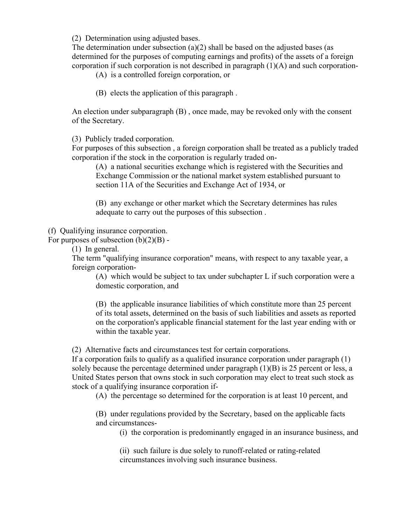(2) Determination using adjusted bases.

The determination under subsection  $(a)(2)$  shall be based on the adjusted bases (as determined for the purposes of computing earnings and profits) of the assets of a foreign corporation if such corporation is not described in paragraph (1)(A) and such corporation-

(A) is a controlled foreign corporation, or

(B) elects the application of this paragraph .

An election under subparagraph (B) , once made, may be revoked only with the consent of the Secretary.

(3) Publicly traded corporation.

For purposes of this subsection , a foreign corporation shall be treated as a publicly traded corporation if the stock in the corporation is regularly traded on-

(A) a national securities exchange which is registered with the Securities and Exchange Commission or the national market system established pursuant to section 11A of the Securities and Exchange Act of 1934, or

(B) any exchange or other market which the Secretary determines has rules adequate to carry out the purposes of this subsection .

(f) Qualifying insurance corporation.

For purposes of subsection  $(b)(2)(B)$  -

(1) In general.

The term "qualifying insurance corporation" means, with respect to any taxable year, a foreign corporation-

(A) which would be subject to tax under subchapter L if such corporation were a domestic corporation, and

(B) the applicable insurance liabilities of which constitute more than 25 percent of its total assets, determined on the basis of such liabilities and assets as reported on the corporation's applicable financial statement for the last year ending with or within the taxable year.

(2) Alternative facts and circumstances test for certain corporations.

If a corporation fails to qualify as a qualified insurance corporation under paragraph (1) solely because the percentage determined under paragraph  $(1)(B)$  is 25 percent or less, a United States person that owns stock in such corporation may elect to treat such stock as stock of a qualifying insurance corporation if-

(A) the percentage so determined for the corporation is at least 10 percent, and

(B) under regulations provided by the Secretary, based on the applicable facts and circumstances-

(i) the corporation is predominantly engaged in an insurance business, and

(ii) such failure is due solely to runoff-related or rating-related circumstances involving such insurance business.